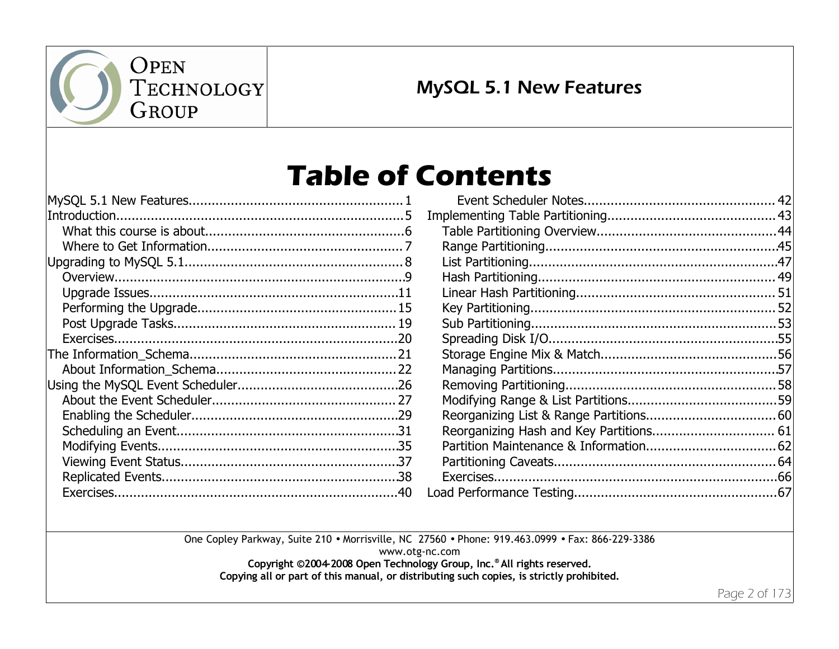

## MySQL 5.1 New Features

## **Table of Contents**

One Copley Parkway, Suite 210 • Morrisville, NC 27560 • Phone: 919.463.0999 • Fax: 866-229-3386

www.otg-nc.com

**Copyright ©2004-2008 Open Technology Group, Inc. ® All rights reserved.**

**Copying all or part of this manual, or distributing such copies, is strictly prohibited.**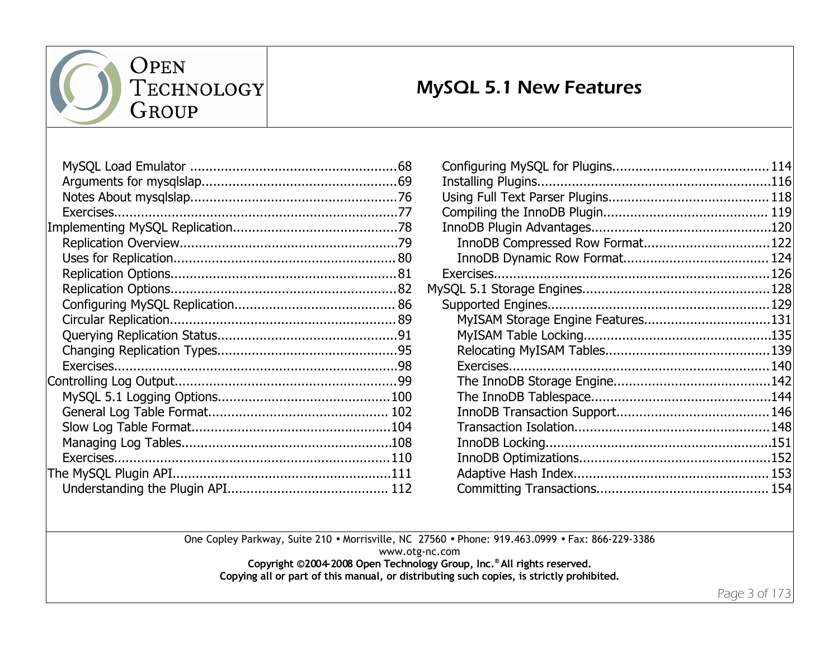

TECHNOLOGY GROUP

## MySQL 5.1 New Features

| InnoDB Compressed Row Format122   |  |
|-----------------------------------|--|
|                                   |  |
|                                   |  |
|                                   |  |
|                                   |  |
| MyISAM Storage Engine Features131 |  |
|                                   |  |
|                                   |  |
|                                   |  |
|                                   |  |
|                                   |  |
|                                   |  |
|                                   |  |
|                                   |  |
|                                   |  |
|                                   |  |
|                                   |  |
|                                   |  |

One Copley Parkway, Suite 210 • Morrisville, NC 27560 • Phone: 919.463.0999 • Fax: 866-229-3386

www.otg-nc.com

**Copyright ©2004-2008 Open Technology Group, Inc. ® All rights reserved.**

**Copying all or part of this manual, or distributing such copies, is strictly prohibited.**